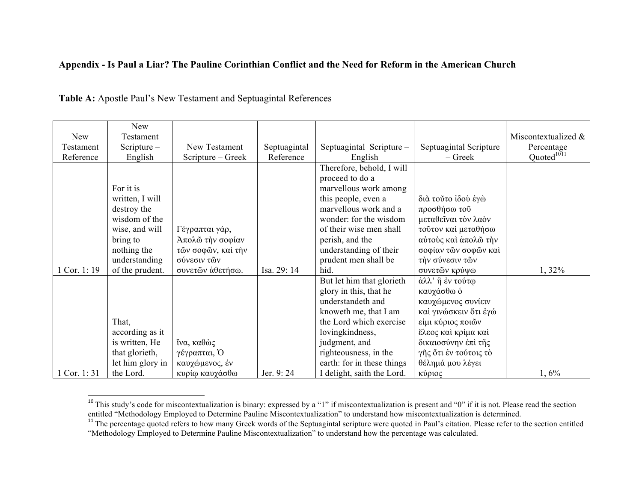## **Appendix - Is Paul a Liar? The Pauline Corinthian Conflict and the Need for Reform in the American Church**

|             | <b>New</b>       |                    |              |                            |                        |                        |
|-------------|------------------|--------------------|--------------|----------------------------|------------------------|------------------------|
| New         | Testament        |                    |              |                            |                        | Miscontextualized &    |
| Testament   | Scripture $-$    | New Testament      | Septuagintal | Septuagintal Scripture -   | Septuagintal Scripture | Percentage             |
| Reference   | English          | Scripture – Greek  | Reference    | English                    | $-$ Greek              | Quoted <sup>1011</sup> |
|             |                  |                    |              | Therefore, behold, I will  |                        |                        |
|             |                  |                    |              | proceed to do a            |                        |                        |
|             | For it is        |                    |              | marvellous work among      |                        |                        |
|             | written, I will  |                    |              | this people, even a        | διά τούτο ίδού έγώ     |                        |
|             | destroy the      |                    |              | marvellous work and a      | προσθήσω τού           |                        |
|             | wisdom of the    |                    |              | wonder: for the wisdom     | μεταθεΐναι τον λαόν    |                        |
|             | wise, and will   | Γέγραπται γάρ,     |              | of their wise men shall    | τούτον καί μεταθήσω    |                        |
|             | bring to         | Άπολώ την σοφίαν   |              | perish, and the            | αύτους και άπολω την   |                        |
|             | nothing the      | τῶν σοφῶν, καί τήν |              | understanding of their     | σοφίαν τῶν σοφῶν καὶ   |                        |
|             | understanding    | σύνεσιν τῶν        |              | prudent men shall be       | τήν σύνεσιν τών        |                        |
| Cor. 1:19   | of the prudent.  | συνετών άθετήσω.   | Isa. 29: 14  | hid.                       | συνετών κρύψω          | 1, 32%                 |
|             |                  |                    |              | But let him that glorieth  | άλλ' ή έν τούτω        |                        |
|             |                  |                    |              | glory in this, that he     | καυχάσθω ο             |                        |
|             |                  |                    |              | understandeth and          | καυχώμενος συνίειν     |                        |
|             |                  |                    |              | knoweth me, that I am      | καί γινώσκειν ότι έγώ  |                        |
|             | That,            |                    |              | the Lord which exercise    | είμι κύριος ποιών      |                        |
|             | according as it  |                    |              | lovingkindness,            | ἔλεος καὶ κρίμα καὶ    |                        |
|             | is written, He   | ΐνα, καθώς         |              | judgment, and              | δικαιοσύνην έπι της    |                        |
|             | that glorieth,   | γέγραπται, Ο       |              | righteousness, in the      | γῆς ὅτι ἐν τούτοις τὸ  |                        |
|             | let him glory in | καυχώμενος, έν     |              | earth: for in these things | θέλημά μου λέγει       |                        |
| 1 Cor. 1:31 | the Lord.        | κυρίω καυχάσθω     | Jer. 9:24    | I delight, saith the Lord. | κύριος                 | 1,6%                   |

## **Table A:** Apostle Paul's New Testament and Septuagintal References

<sup>&</sup>lt;sup>10</sup> This study's code for miscontextualization is binary: expressed by a "1" if miscontextualization is present and "0" if it is not. Please read the section entitled "Methodology Employed to Determine Pauline Miscontext

<sup>&</sup>lt;sup>11</sup> The percentage quoted refers to how many Greek words of the Septuagintal scripture were quoted in Paul's citation. Please refer to the section entitled "Methodology Employed to Determine Pauline Miscontextualization" to understand how the percentage was calculated.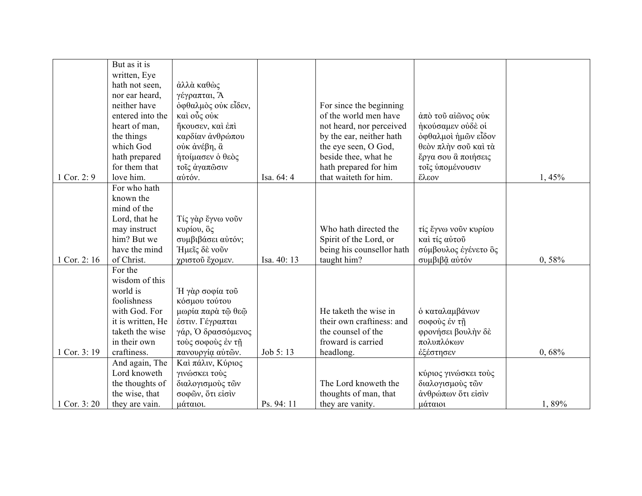|             | But as it is      |                     |             |                           |                      |       |
|-------------|-------------------|---------------------|-------------|---------------------------|----------------------|-------|
|             | written, Eye      |                     |             |                           |                      |       |
|             | hath not seen,    | άλλὰ καθώς          |             |                           |                      |       |
|             | nor ear heard,    | γέγραπται, Ά        |             |                           |                      |       |
|             | neither have      | όφθαλμὸς ούκ εἶδεν, |             | For since the beginning   |                      |       |
|             | entered into the  | καὶ οὗς οὐκ         |             | of the world men have     | άπό τοῦ αἰῶνος ούκ   |       |
|             | heart of man,     | ήκουσεν, και έπι    |             | not heard, nor perceived  | ήκούσαμεν ούδέ οί    |       |
|             | the things        | καρδίαν άνθρώπου    |             | by the ear, neither hath  | όφθαλμοί ήμων είδον  |       |
|             | which God         | ούκ άνέβη, ἃ        |             | the eye seen, O God,      | θεὸν πλήν σοῦ καὶ τὰ |       |
|             | hath prepared     | ήτοίμασεν ο θεός    |             | beside thee, what he      | έργα σου ἃ ποιήσεις  |       |
|             | for them that     | τοΐς άγαπώσιν       |             | hath prepared for him     | τοΐς υπομένουσιν     |       |
| Cor. 2: $9$ | love him.         | αύτόν.              | Isa. 64: 4  | that waiteth for him.     | έλεον                | 1,45% |
|             | For who hath      |                     |             |                           |                      |       |
|             | known the         |                     |             |                           |                      |       |
|             | mind of the       |                     |             |                           |                      |       |
|             | Lord, that he     | Τίς γάρ ἔγνω νοῦν   |             |                           |                      |       |
|             | may instruct      | κυρίου, δς          |             | Who hath directed the     | τίς έγνω νούν κυρίου |       |
|             | him? But we       | συμβιβάσει αύτόν;   |             | Spirit of the Lord, or    | καί τίς αύτου        |       |
|             | have the mind     | Ήμεῖς δὲ νοῦν       |             | being his counsellor hath | σύμβουλος έγένετο δς |       |
| Cor. 2:16   | of Christ.        | χριστού έχομεν.     | Isa. 40: 13 | taught him?               | συμβιβα αύτόν        | 0,58% |
|             | For the           |                     |             |                           |                      |       |
|             | wisdom of this    |                     |             |                           |                      |       |
|             | world is          | Η γάρ σοφία τού     |             |                           |                      |       |
|             | foolishness       | κόσμου τούτου       |             |                           |                      |       |
|             | with God. For     | μωρία παρά τῷ θεῷ   |             | He taketh the wise in     | ό καταλαμβάνων       |       |
|             | it is written, He | έστιν. Γέγραπται    |             | their own craftiness: and | σοφούς έν τη         |       |
|             | taketh the wise   | γάρ, Ο δρασσόμενος  |             | the counsel of the        | φρονήσει βουλήν δέ   |       |
|             | in their own      | τούς σοφούς έν τη   |             | froward is carried        | πολυπλόκων           |       |
| Cor. 3:19   | craftiness.       | πανουργία αύτών.    | Job 5:13    | headlong.                 | έξέστησεν            | 0,68% |
|             | And again, The    | Καί πάλιν, Κύριος   |             |                           |                      |       |
|             | Lord knoweth      | γινώσκει τούς       |             |                           | κύριος γινώσκει τούς |       |
|             | the thoughts of   | διαλογισμούς τών    |             | The Lord knoweth the      | διαλογισμούς τών     |       |
|             | the wise, that    | σοφών, ότι είσιν    |             | thoughts of man, that     | άνθρώπων ότι είσιν   |       |
| 1 Cor. 3:20 | they are vain.    | μάταιοι.            | Ps. 94: 11  | they are vanity.          | μάταιοι              | 1,89% |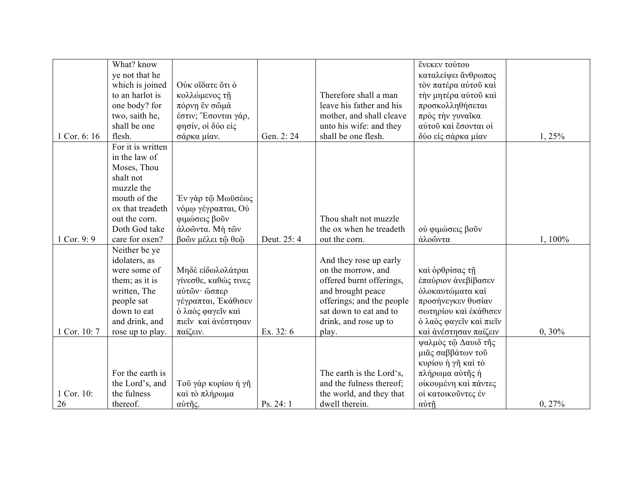|              | What? know        |                      |             |                           |                         |           |
|--------------|-------------------|----------------------|-------------|---------------------------|-------------------------|-----------|
|              |                   |                      |             |                           | ένεκεν τούτου           |           |
|              | ye not that he    |                      |             |                           | καταλείψει άνθρωπος     |           |
|              | which is joined   | Ούκ οΐδατε ὅτι ὁ     |             |                           | τον πατέρα αύτου καί    |           |
|              | to an harlot is   | κολλώμενος τη        |             | Therefore shall a man     | την μητέρα αύτου καί    |           |
|              | one body? for     | πόρνη ἓν σῶμά        |             | leave his father and his  | προσκολληθήσεται        |           |
|              | two, saith he,    | έστιν; Έσονται γάρ,  |             | mother, and shall cleave  | πρός την γυναΐκα        |           |
|              | shall be one      | φησίν, οί δύο είς    |             | unto his wife: and they   | αύτοῦ καὶ ἔσονται οί    |           |
| 1 Cor. 6: 16 | flesh.            | σάρκα μίαν.          | Gen. 2:24   | shall be one flesh.       | δύο είς σάρκα μίαν      | 1,25%     |
|              | For it is written |                      |             |                           |                         |           |
|              | in the law of     |                      |             |                           |                         |           |
|              | Moses, Thou       |                      |             |                           |                         |           |
|              | shalt not         |                      |             |                           |                         |           |
|              | muzzle the        |                      |             |                           |                         |           |
|              | mouth of the      | Έν γὰρ τῷ Μωϋσέως    |             |                           |                         |           |
|              | ox that treadeth  | νόμω γέγραπται, Ού   |             |                           |                         |           |
|              | out the corn.     | φιμώσεις βούν        |             | Thou shalt not muzzle     |                         |           |
|              | Doth God take     | άλοώντα. Μή τών      |             | the ox when he treadeth   | ού φιμώσεις βούν        |           |
| 1 Cor. 9: 9  | care for oxen?    | βοών μέλει τώ θεώ    | Deut. 25: 4 | out the corn.             | άλοωντα                 | 1,100%    |
|              | Neither be ye     |                      |             |                           |                         |           |
|              | idolaters, as     |                      |             | And they rose up early    |                         |           |
|              | were some of      | Μηδέ είδωλολάτραι    |             | on the morrow, and        | και ορθρίσας τη         |           |
|              | them; as it is    | γίνεσθε, καθώς τινες |             | offered burnt offerings,  | έπαύριον άνεβίβασεν     |           |
|              | written, The      | αύτῶν ώσπερ          |             | and brought peace         | όλοκαυτώματα καί        |           |
|              | people sat        | γέγραπται, Εκάθισεν  |             | offerings; and the people | προσήνεγκεν θυσίαν      |           |
|              | down to eat       | ό λαός φαγεῖν καὶ    |             | sat down to eat and to    | σωτηρίου και έκάθισεν   |           |
|              | and drink, and    | πιείν και ανέστησαν  |             | drink, and rose up to     | ο λαός φαγεΐν και πιεΐν |           |
| Cor. 10:7    |                   | παίζειν.             | Ex. 32: 6   |                           | και άνέστησαν παίζειν   | $0, 30\%$ |
|              | rose up to play.  |                      |             | play.                     |                         |           |
|              |                   |                      |             |                           | ψαλμός τῷ Δαυιδ τῆς     |           |
|              |                   |                      |             |                           | μιᾶς σαββάτων τοῦ       |           |
|              |                   |                      |             |                           | κυρίου ή γῆ καὶ τὸ      |           |
|              | For the earth is  |                      |             | The earth is the Lord's,  | πλήρωμα αύτης ή         |           |
|              | the Lord's, and   | Τοῦ γὰρ κυρίου ή γῆ  |             | and the fulness thereof;  | οίκουμένη και πάντες    |           |
| 1 Cor. 10:   | the fulness       | καί τὸ πλήρωμα       |             | the world, and they that  | οί κατοικούντες έν      |           |
| 26           | thereof.          | αύτῆς.               | Ps. 24: 1   | dwell therein.            | αύτη                    | 0, 27%    |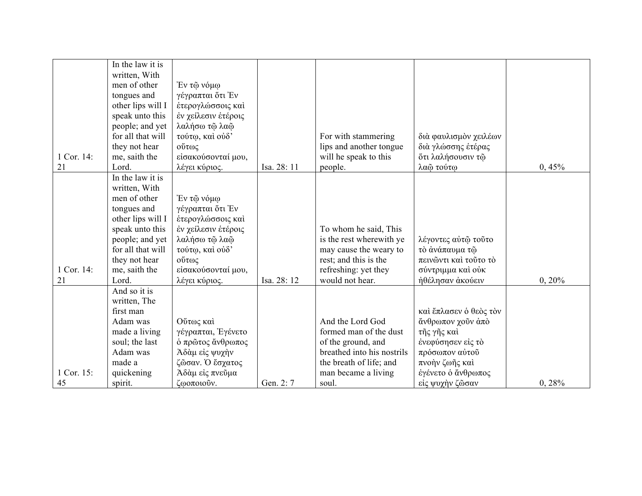|            | In the law it is  |                     |             |                            |                           |        |
|------------|-------------------|---------------------|-------------|----------------------------|---------------------------|--------|
|            | written, With     |                     |             |                            |                           |        |
|            | men of other      | Έν τῷ νόμω          |             |                            |                           |        |
|            | tongues and       | γέγραπται ὅτι Έν    |             |                            |                           |        |
|            | other lips will I | έτερογλώσσοις καί   |             |                            |                           |        |
|            | speak unto this   | έν χείλεσιν έτέροις |             |                            |                           |        |
|            | people; and yet   | λαλήσω τώ λαώ       |             |                            |                           |        |
|            | for all that will | τούτω, και ούδ'     |             | For with stammering        | διά φαυλισμόν χειλέων     |        |
|            | they not hear     | ούτως               |             | lips and another tongue    | διά γλώσσης ετέρας        |        |
| 1 Cor. 14: | me, saith the     | είσακούσονταί μου,  |             | will he speak to this      | ότι λαλήσουσιν τ <b>ώ</b> |        |
| 21         | Lord.             | λέγει κύριος.       | Isa. 28: 11 | people.                    | λαώ τούτω                 | 0,45%  |
|            | In the law it is  |                     |             |                            |                           |        |
|            | written, With     |                     |             |                            |                           |        |
|            | men of other      | Έν τῷ νόμφ          |             |                            |                           |        |
|            | tongues and       | γέγραπται ότι Έν    |             |                            |                           |        |
|            | other lips will I | έτερογλώσσοις καί   |             |                            |                           |        |
|            | speak unto this   | έν χείλεσιν έτέροις |             | To whom he said, This      |                           |        |
|            | people; and yet   | λαλήσω τῷ λαῷ       |             | is the rest wherewith ye   | λέγοντες αύτω τούτο       |        |
|            | for all that will | τούτω, και ούδ'     |             | may cause the weary to     | τό άνάπαυμα τω            |        |
|            | they not hear     | ούτως               |             | rest; and this is the      | πεινώντι καί τούτο τό     |        |
| 1 Cor. 14: | me, saith the     | είσακούσονταί μου,  |             | refreshing: yet they       | σύντριμμα καί ούκ         |        |
| 21         | Lord.             | λέγει κύριος.       | Isa. 28: 12 | would not hear.            | ήθέλησαν άκούειν          | 0, 20% |
|            | And so it is      |                     |             |                            |                           |        |
|            | written, The      |                     |             |                            |                           |        |
|            | first man         |                     |             |                            | καί έπλασεν ο θεός τον    |        |
|            | Adam was          | Ούτως καί           |             | And the Lord God           | άνθρωπον χοῦν ἀπὸ         |        |
|            | made a living     | γέγραπται, Έγένετο  |             | formed man of the dust     | τῆς γῆς καὶ               |        |
|            | soul; the last    | ό πρώτος ἄνθρωπος   |             | of the ground, and         | ένεφύσησεν είς τό         |        |
|            | Adam was          | Άδαμ είς ψυχήν      |             | breathed into his nostrils | πρόσωπον αύτου            |        |
|            | made a            | ζῶσαν. Ο έσχατος    |             | the breath of life; and    | πνοὴν ζωῆς καὶ            |        |
| 1 Cor. 15: | quickening        | Άδαμ είς πνεύμα     |             | man became a living        | έγένετο ο άνθρωπος        |        |
| 45         | spirit.           | ζωοποιούν.          | Gen. 2: 7   | soul.                      | είς ψυχήν ζῶσαν           | 0, 28% |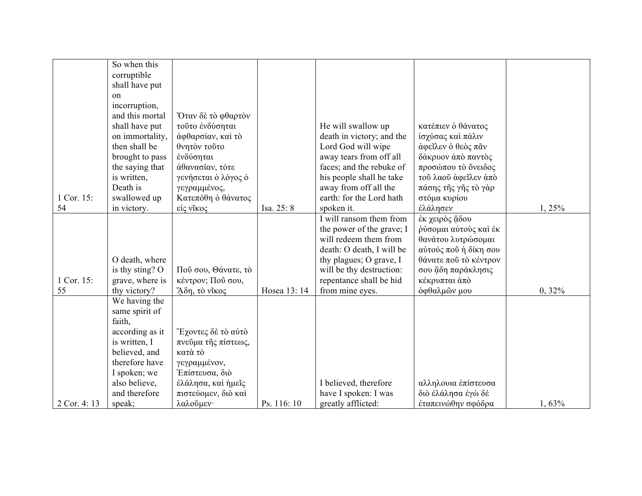|             | So when this    |                     |              |                           |                       |           |
|-------------|-----------------|---------------------|--------------|---------------------------|-----------------------|-----------|
|             | corruptible     |                     |              |                           |                       |           |
|             | shall have put  |                     |              |                           |                       |           |
|             | on              |                     |              |                           |                       |           |
|             | incorruption,   |                     |              |                           |                       |           |
|             | and this mortal | Όταν δὲ τὸ φθαρτὸν  |              |                           |                       |           |
|             | shall have put  | τούτο ένδύσηται     |              | He will swallow up        | κατέπιεν ο θάνατος    |           |
|             | on immortality, | άφθαρσίαν, και το   |              | death in victory; and the | ίσχύσας και πάλιν     |           |
|             | then shall be   | θνητόν τούτο        |              | Lord God will wipe        | άφεΐλεν ο θεός πᾶν    |           |
|             | brought to pass | ένδύσηται           |              | away tears from off all   | δάκρυον άπό παντός    |           |
|             | the saying that | άθανασίαν, τότε     |              | faces; and the rebuke of  | προσώπου τὸ ὄνειδος   |           |
|             | is written,     | γενήσεται ο λόγος ο |              | his people shall he take  | τού λαού άφεΐλεν άπό  |           |
|             | Death is        | γεγραμμένος,        |              | away from off all the     | πάσης τῆς γῆς τὸ γὰρ  |           |
| 1 Cor. 15:  | swallowed up    | Κατεπόθη ο θάνατος  |              | earth: for the Lord hath  | στόμα κυρίου          |           |
| 54          | in victory.     | είς νίκος           | Isa. 25: 8   | spoken it.                | έλάλησεν              | 1,25%     |
|             |                 |                     |              | I will ransom them from   | έκ χειρός ἅδου        |           |
|             |                 |                     |              | the power of the grave; I | ρύσομαι αύτους και έκ |           |
|             |                 |                     |              | will redeem them from     | θανάτου λυτρώσομαι    |           |
|             |                 |                     |              | death: O death, I will be | αύτούς ποῦ ἡ δίκη σου |           |
|             | O death, where  |                     |              | thy plagues; O grave, I   | θάνατε ποῦ τὸ κέντρον |           |
|             | is thy sting? O | Πού σου, Θάνατε, τό |              | will be thy destruction:  | σου ἅδη παράκλησις    |           |
| 1 Cor. 15:  | grave, where is | κέντρον; Πού σου,   |              | repentance shall be hid   | κέκρυπται άπό         |           |
| 55          | thy victory?    | Άδη, τὸ νῖκος       | Hosea 13: 14 | from mine eyes.           | όφθαλμών μου          | $0, 32\%$ |
|             | We having the   |                     |              |                           |                       |           |
|             | same spirit of  |                     |              |                           |                       |           |
|             | faith,          |                     |              |                           |                       |           |
|             | according as it | Έχοντες δὲ τὸ αὐτὸ  |              |                           |                       |           |
|             | is written, I   | πνεύμα της πίστεως, |              |                           |                       |           |
|             | believed, and   | κατά τὸ             |              |                           |                       |           |
|             | therefore have  | γεγραμμένον,        |              |                           |                       |           |
|             | I spoken; we    | Έπίστευσα, διό      |              |                           |                       |           |
|             | also believe,   | έλάλησα, και ημείς  |              | I believed, therefore     | αλληλουια έπίστευσα   |           |
|             | and therefore   | πιστεύομεν, διό καί |              | have I spoken: I was      | διὸ ἐλάλησα ἐγώ δε    |           |
| 2 Cor. 4:13 | speak;          | λαλούμεν·           | Ps. 116:10   | greatly afflicted:        | έταπεινώθην σφόδρα    | 1,63%     |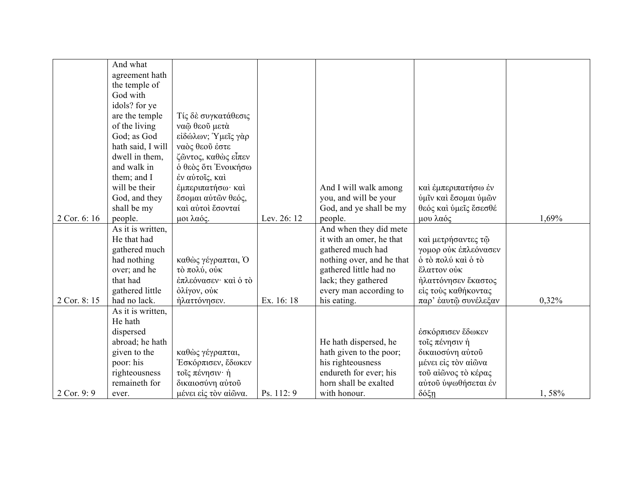|             | And what          |                      |             |                           |                                     |       |
|-------------|-------------------|----------------------|-------------|---------------------------|-------------------------------------|-------|
|             | agreement hath    |                      |             |                           |                                     |       |
|             | the temple of     |                      |             |                           |                                     |       |
|             | God with          |                      |             |                           |                                     |       |
|             | idols? for ye     |                      |             |                           |                                     |       |
|             | are the temple    | Τίς δε συγκατάθεσις  |             |                           |                                     |       |
|             | of the living     | ναφ θεού μετά        |             |                           |                                     |       |
|             | God; as God       | είδώλων; Υμεΐς γάρ   |             |                           |                                     |       |
|             | hath said, I will | ναός θεού έστε       |             |                           |                                     |       |
|             | dwell in them,    | ζῶντος, καθὼς εἶπεν  |             |                           |                                     |       |
|             | and walk in       | ό θεός ότι Ενοικήσω  |             |                           |                                     |       |
|             | them; and I       | έν αύτοις, καί       |             |                           |                                     |       |
|             | will be their     | έμπεριπατήσω· καί    |             | And I will walk among     | καί έμπεριπατήσω έν                 |       |
|             | God, and they     | έσομαι αύτών θεός,   |             | you, and will be your     | ύμιν και έσομαι ύμών                |       |
|             | shall be my       | καί αύτοι έσονταί    |             | God, and ye shall be my   | θεός και ύμεις έσεσθέ               |       |
| 2 Cor. 6:16 | people.           | μοι λαός.            | Lev. 26: 12 | people.                   | μου λαός                            | 1,69% |
|             | As it is written, |                      |             | And when they did mete    |                                     |       |
|             | He that had       |                      |             | it with an omer, he that  | καί μετρήσαντες τώ                  |       |
|             | gathered much     |                      |             | gathered much had         | γομορ ούκ έπλεόνασεν                |       |
|             | had nothing       | καθώς γέγραπται, Ο   |             | nothing over, and he that | $\dot{\mathrm{o}}$ τὸ πολύ καὶ ὁ τὸ |       |
|             | over; and he      | τὸ πολύ, οὐκ         |             | gathered little had no    | έλαττον ούκ                         |       |
|             | that had          | έπλεόνασεν· και ο το |             | lack; they gathered       | ήλαττόνησεν έκαστος                 |       |
|             | gathered little   | όλίγον, ούκ          |             | every man according to    | είς τούς καθήκοντας                 |       |
| 2 Cor. 8:15 | had no lack.      | ήλαττόνησεν.         | Ex. 16: 18  | his eating.               | παρ' έαυτώ συνέλεξαν                | 0,32% |
|             | As it is written, |                      |             |                           |                                     |       |
|             | He hath           |                      |             |                           |                                     |       |
|             | dispersed         |                      |             |                           | έσκόρπισεν έδωκεν                   |       |
|             | abroad; he hath   |                      |             | He hath dispersed, he     | τοίς πένησιν ή                      |       |
|             | given to the      | καθώς γέγραπται,     |             | hath given to the poor;   | δικαιοσύνη αύτου                    |       |
|             | poor: his         | Έσκόρπισεν, έδωκεν   |             | his righteousness         | μένει είς τον αίωνα                 |       |
|             | righteousness     | τοΐς πένησιν· ή      |             | endureth for ever; his    | τού αίῶνος τὸ κέρας                 |       |
|             | remaineth for     | δικαιοσύνη αύτου     |             | horn shall be exalted     | αύτοῦ ύψωθήσεται έν                 |       |
| 2 Cor. 9: 9 | ever.             | μένει είς τον αίώνα. | Ps. 112:9   | with honour.              | δόξη                                | 1,58% |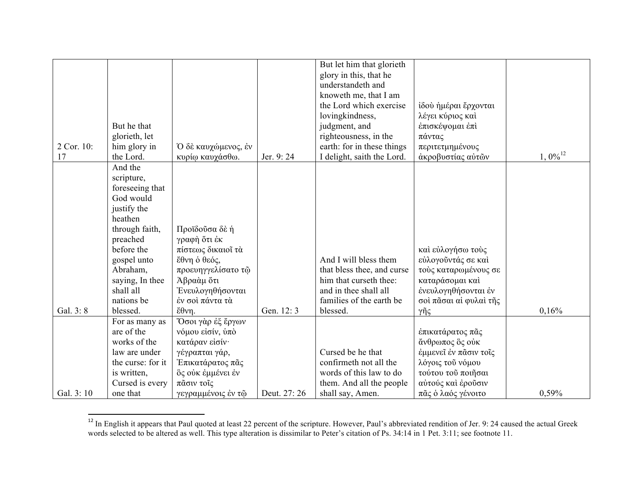|            |                              |                         |              | But let him that glorieth  |                        |                       |
|------------|------------------------------|-------------------------|--------------|----------------------------|------------------------|-----------------------|
|            |                              |                         |              | glory in this, that he     |                        |                       |
|            |                              |                         |              | understandeth and          |                        |                       |
|            |                              |                         |              | knoweth me, that I am      |                        |                       |
|            |                              |                         |              | the Lord which exercise    | ίδού ήμέραι έρχονται   |                       |
|            |                              |                         |              | lovingkindness,            | λέγει κύριος και       |                       |
|            | But he that                  |                         |              | judgment, and              | έπισκέψομαι έπι        |                       |
|            | glorieth, let                |                         |              | righteousness, in the      | πάντας                 |                       |
| 2 Cor. 10: | him glory in                 | Ό δε καυχώμενος, έν     |              | earth: for in these things | περιτετμημένους        |                       |
| 17         | the Lord.                    | κυρίω καυχάσθω.         | Jer. 9:24    | I delight, saith the Lord. | άκροβυστίας αύτών      | $1,0\%$ <sup>12</sup> |
|            | And the                      |                         |              |                            |                        |                       |
|            | scripture,                   |                         |              |                            |                        |                       |
|            | foreseeing that              |                         |              |                            |                        |                       |
|            | God would                    |                         |              |                            |                        |                       |
|            | justify the                  |                         |              |                            |                        |                       |
|            | heathen                      |                         |              |                            |                        |                       |
|            | through faith,               | Προϊδούσα δε ή          |              |                            |                        |                       |
|            | preached                     | γραφή ὅτι ἐκ            |              |                            |                        |                       |
|            | before the                   | πίστεως δικαιοί τά      |              |                            | καί εύλογήσω τούς      |                       |
|            | gospel unto                  | ἔθνη ὁ θεός,            |              | And I will bless them      | εύλογοῦντάς σε καί     |                       |
|            | Abraham,                     | προευηγγελίσατο τώ      |              | that bless thee, and curse | τούς καταρωμένους σε   |                       |
|            | saying, In thee              | Αβραάμ ὅτι              |              | him that curseth thee:     | καταράσομαι καί        |                       |
|            | shall all                    | <b>Ένευλογηθήσονται</b> |              | and in thee shall all      | ένευλογηθήσονται έν    |                       |
|            | nations be                   | έν σοι πάντα τα         |              | families of the earth be   | σοί πάσαι αί φυλαί της |                       |
| Gal. 3: 8  | blessed.                     | εθνη                    | Gen. 12:3    | blessed.                   |                        | 0.16%                 |
|            |                              |                         |              |                            | γῆς                    |                       |
|            | For as many as<br>are of the | Όσοι γάρ έξ έργων       |              |                            |                        |                       |
|            |                              | νόμου είσίν, ύπό        |              |                            | έπικατάρατος πᾶς       |                       |
|            | works of the                 | κατάραν είσίν·          |              |                            | άνθρωπος ὃς ούκ        |                       |
|            | law are under                | γέγραπται γάρ,          |              | Cursed be he that          | έμμενεῖ ἐν πᾶσιν τοῖς  |                       |
|            | the curse: for it            | Έπικατάρατος πᾶς        |              | confirmeth not all the     | λόγοις τοῦ νόμου       |                       |
|            | is written,                  | ὃς ούκ έμμένει έν       |              | words of this law to do    | τούτου του ποιήσαι     |                       |
|            | Cursed is every              | πᾶσιν τοῖς              |              | them. And all the people   | αύτούς και έρούσιν     |                       |
| Gal. 3:10  | one that                     | γεγραμμένοις έν τῷ      | Deut. 27: 26 | shall say, Amen.           | πᾶς ὁ λαός γένοιτο     | 0.59%                 |

<sup>&</sup>lt;sup>12</sup> In English it appears that Paul quoted at least 22 percent of the scripture. However, Paul's abbreviated rendition of Jer. 9: 24 caused the actual Greek words selected to be altered as well. This type alteration is dissimilar to Peter's citation of Ps. 34:14 in 1 Pet. 3:11; see footnote 11.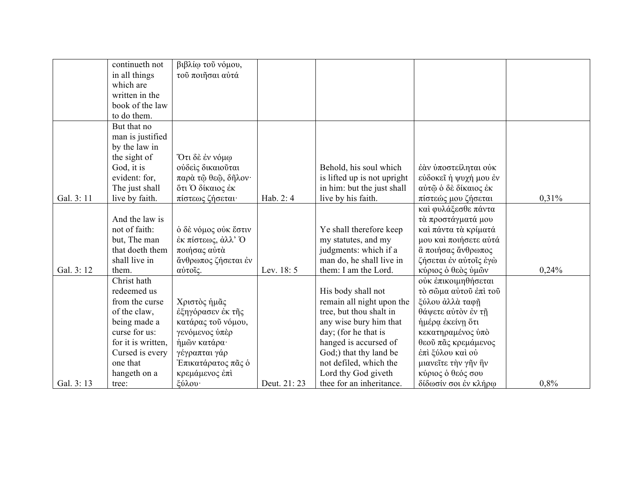|            | continueth not     | βιβλίω τοῦ νόμου,    |             |                             |                       |       |
|------------|--------------------|----------------------|-------------|-----------------------------|-----------------------|-------|
|            | in all things      | τοῦ ποιῆσαι αὐτά     |             |                             |                       |       |
|            | which are          |                      |             |                             |                       |       |
|            | written in the     |                      |             |                             |                       |       |
|            | book of the law    |                      |             |                             |                       |       |
|            | to do them.        |                      |             |                             |                       |       |
|            | But that no        |                      |             |                             |                       |       |
|            | man is justified   |                      |             |                             |                       |       |
|            | by the law in      |                      |             |                             |                       |       |
|            | the sight of       | Ότι δὲ ἐν νόμφ       |             |                             |                       |       |
|            | God, it is         | ούδεις δικαιούται    |             | Behold, his soul which      | έάν ύποστείληται ούκ  |       |
|            | evident: for,      | παρά τῷ θεῷ, δῆλον·  |             | is lifted up is not upright | εύδοκεί ή ψυχή μου έν |       |
|            | The just shall     | ότι Ο δίκαιος έκ     |             | in him: but the just shall  | αύτῷ ὁ δὲ δίκαιος ἐκ  |       |
| Gal. 3: 11 | live by faith.     | πίστεως ζήσεται·     | Hab. 2: 4   | live by his faith.          | πίστεώς μου ζήσεται   | 0,31% |
|            |                    |                      |             |                             | καί φυλάξεσθε πάντα   |       |
|            | And the law is     |                      |             |                             | τά προστάγματά μου    |       |
|            | not of faith:      | ο δε νόμος ούκ έστιν |             | Ye shall therefore keep     | καί πάντα τα κρίματά  |       |
|            | but, The man       | έκ πίστεως, άλλ' Ο   |             | my statutes, and my         | μου καί ποιήσετε αύτά |       |
|            | that doeth them    | ποιήσας αύτα         |             | judgments: which if a       | α ποιήσας άνθρωπος    |       |
|            | shall live in      | άνθρωπος ζήσεται έν  |             | man do, he shall live in    | ζήσεται έν αύτοις έγώ |       |
| Gal. 3:12  | them.              | αύτοις.              | Lev. 18:5   | them: I am the Lord.        | κύριος ὁ θεὸς ὑμῶν    | 0,24% |
|            | Christ hath        |                      |             |                             | ούκ έπικοιμηθήσεται   |       |
|            | redeemed us        |                      |             | His body shall not          | τό σώμα αύτου έπι του |       |
|            | from the curse     | Χριστός ήμας         |             | remain all night upon the   | ξύλου άλλά ταφή       |       |
|            | of the claw,       | έξηγόρασεν έκ της    |             | tree, but thou shalt in     | θάψετε αύτον έν τη    |       |
|            | being made a       | κατάρας του νόμου,   |             | any wise bury him that      | ημέρα έκείνη ότι      |       |
|            | curse for us:      | γενόμενος ύπέρ       |             | day; (for he that is        | κεκατηραμένος ύπό     |       |
|            | for it is written, | ήμῶν κατάρα·         |             | hanged is accursed of       | θεοῦ πᾶς κρεμάμενος   |       |
|            | Cursed is every    | γέγραπται γάρ        |             | God;) that thy land be      | έπι ξύλου και ού      |       |
|            | one that           | Επικατάρατος πᾶς ὁ   |             | not defiled, which the      | μιανείτε την γην ήν   |       |
|            | hangeth on a       | κρεμάμενος έπι       |             | Lord thy God giveth         | κύριος ο θεός σου     |       |
| Gal. 3:13  | tree:              | ξύλου·               | Deut. 21:23 | thee for an inheritance.    | δίδωσίν σοι έν κλήρω  | 0,8%  |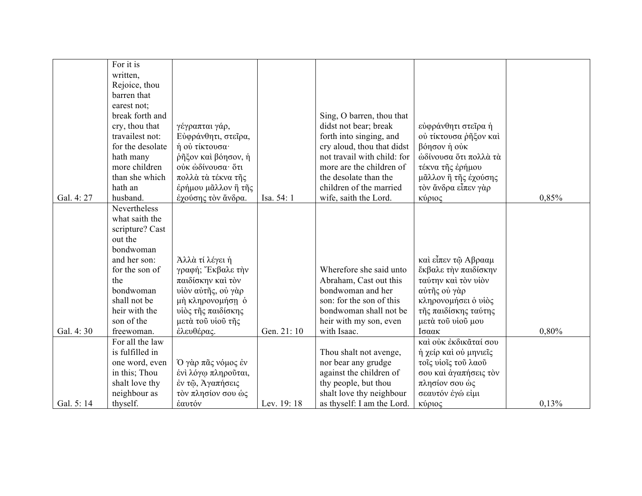|           | For it is        |                     |             |                             |                       |       |
|-----------|------------------|---------------------|-------------|-----------------------------|-----------------------|-------|
|           | written,         |                     |             |                             |                       |       |
|           | Rejoice, thou    |                     |             |                             |                       |       |
|           | barren that      |                     |             |                             |                       |       |
|           | earest not;      |                     |             |                             |                       |       |
|           | break forth and  |                     |             | Sing, O barren, thou that   |                       |       |
|           | cry, thou that   | γέγραπται γάρ,      |             | didst not bear; break       | εύφράνθητι στεΐρα ή   |       |
|           | travailest not:  | Εύφράνθητι, στεΐρα, |             | forth into singing, and     | ού τίκτουσα ρηξον και |       |
|           | for the desolate | ή ού τίκτουσα·      |             | cry aloud, thou that didst  | βόησον ή ούκ          |       |
|           | hath many        | ρηξον και βόησον, η |             | not travail with child: for | ώδίνουσα ότι πολλά τά |       |
|           | more children    | ούκ ώδίνουσα· ὅτι   |             | more are the children of    | τέκνα της έρήμου      |       |
|           | than she which   | πολλά τὰ τέκνα τῆς  |             | the desolate than the       | μᾶλλον ἢ τῆς ἐχούσης  |       |
|           | hath an          | έρήμου μᾶλλον ἢ τῆς |             | children of the married     | τὸν ἄνδρα εἶπεν γὰρ   |       |
| Gal. 4:27 | husband.         | έχούσης τον άνδρα.  | Isa. 54: 1  | wife, saith the Lord.       | κύριος                | 0,85% |
|           | Nevertheless     |                     |             |                             |                       |       |
|           | what saith the   |                     |             |                             |                       |       |
|           | scripture? Cast  |                     |             |                             |                       |       |
|           | out the          |                     |             |                             |                       |       |
|           | bondwoman        |                     |             |                             |                       |       |
|           | and her son:     | Άλλα τί λέγει ή     |             |                             | καί εἶπεν τῷ Αβρααμ   |       |
|           | for the son of   | γραφή; Έκβαλε την   |             | Wherefore she said unto     | έκβαλε την παιδίσκην  |       |
|           | the              | παιδίσκην και τον   |             | Abraham, Cast out this      | ταύτην και τον υίον   |       |
|           | bondwoman        | υίον αύτης, ού γάρ  |             | bondwoman and her           | αύτῆς ού γὰρ          |       |
|           | shall not be     | μή κληρονομήση ό    |             | son: for the son of this    | κληρονομήσει ο υίος   |       |
|           | heir with the    | υίὸς τῆς παιδίσκης  |             | bondwoman shall not be      | της παιδίσκης ταύτης  |       |
|           | son of the       | μετά τοῦ υἱοῦ τῆς   |             | heir with my son, even      | μετά του νίου μου     |       |
| Gal. 4:30 | freewoman.       | έλευθέρας.          | Gen. 21: 10 | with Isaac.                 | Ισαακ                 | 0,80% |
|           | For all the law  |                     |             |                             | καί ούκ έκδικᾶταί σου |       |
|           | is fulfilled in  |                     |             | Thou shalt not avenge,      | ή χείρ και ού μηνιείς |       |
|           | one word, even   | Ό γὰρ πᾶς νόμος ἐν  |             | nor bear any grudge         | τοις υίοις του λαού   |       |
|           | in this; Thou    | ένι λόγω πληρούται, |             | against the children of     | σου και άγαπήσεις τον |       |
|           | shalt love thy   | έν τῷ, Αγαπήσεις    |             | thy people, but thou        | πλησίον σου ώς        |       |
|           | neighbour as     | τὸν πλησίον σου ώς  |             | shalt love thy neighbour    | σεαυτόν έγώ είμι      |       |
| Gal. 5:14 | thyself.         | έαυτόν              | Lev. 19: 18 | as thyself: I am the Lord.  | κύριος                | 0,13% |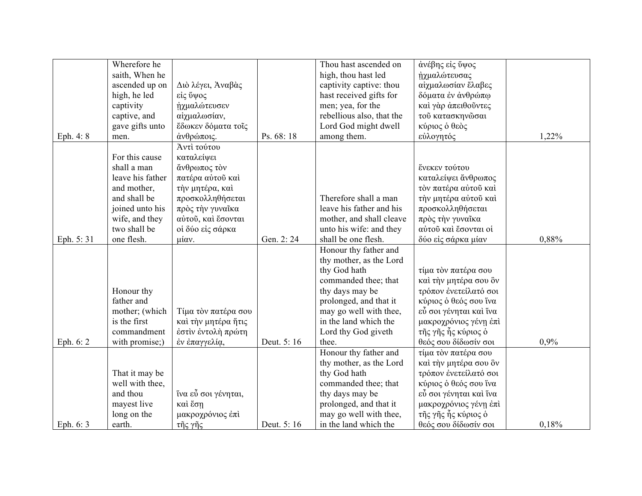|           | Wherefore he     |                     |            | Thou hast ascended on     | άνέβης είς ΰψος        |       |
|-----------|------------------|---------------------|------------|---------------------------|------------------------|-------|
|           | saith, When he   |                     |            | high, thou hast led       | ήχμαλώτευσας           |       |
|           | ascended up on   | Διὸ λέγει, Αναβάς   |            | captivity captive: thou   | αίχμαλωσίαν έλαβες     |       |
|           | high, he led     | είς ΰψος            |            | hast received gifts for   | δόματα έν άνθρώπω      |       |
|           | captivity        | ήχμαλώτευσεν        |            | men; yea, for the         | καί γάρ άπειθούντες    |       |
|           | captive, and     | αίχμαλωσίαν,        |            | rebellious also, that the | τού κατασκηνώσαι       |       |
|           | gave gifts unto  | έδωκεν δόματα τοΐς  |            | Lord God might dwell      | κύριος ο θεός          |       |
| Eph. 4: 8 | men.             | άνθρώποις.          | Ps. 68:18  | among them.               | εύλογητός              | 1,22% |
|           |                  | Άντι τούτου         |            |                           |                        |       |
|           | For this cause   | καταλείψει          |            |                           |                        |       |
|           | shall a man      | άνθρωπος τὸν        |            |                           | ένεκεν τούτου          |       |
|           | leave his father | πατέρα αύτου καί    |            |                           | καταλείψει ἄνθρωπος    |       |
|           | and mother,      | την μητέρα, καί     |            |                           | τον πατέρα αύτου καί   |       |
|           | and shall be     | προσκολληθήσεται    |            | Therefore shall a man     | την μητέρα αύτου καί   |       |
|           | joined unto his  | πρός την γυναίκα    |            | leave his father and his  | προσκολληθήσεται       |       |
|           | wife, and they   | αύτου, και έσονται  |            | mother, and shall cleave  | πρός την γυναΐκα       |       |
|           | two shall be     | οί δύο είς σάρκα    |            | unto his wife: and they   | αύτοῦ καὶ ἔσονται οί   |       |
| Eph. 5:31 | one flesh.       | μίαν.               | Gen. 2:24  | shall be one flesh.       | δύο είς σάρκα μίαν     | 0,88% |
|           |                  |                     |            | Honour thy father and     |                        |       |
|           |                  |                     |            | thy mother, as the Lord   |                        |       |
|           |                  |                     |            | thy God hath              | τίμα τον πατέρα σου    |       |
|           |                  |                     |            | commanded thee; that      | καί την μητέρα σου δν  |       |
|           | Honour thy       |                     |            | thy days may be           | τρόπον ένετείλατό σοι  |       |
|           | father and       |                     |            | prolonged, and that it    | κύριος ο θεός σου ΐνα  |       |
|           | mother; (which   | Τίμα τὸν πατέρα σου |            | may go well with thee,    | εὖ σοι γένηται καὶ ἵνα |       |
|           | is the first     | καί την μητέρα ήτις |            | in the land which the     | μακροχρόνιος γένη έπι  |       |
|           | commandment      | έστιν έντολή πρώτη  |            | Lord thy God giveth       | τῆς γῆς ἧς κύριος ὁ    |       |
| Eph. 6: 2 | with promise;)   | έν έπαγγελία,       | Deut. 5:16 | thee.                     | θεός σου δίδωσίν σοι   | 0,9%  |
|           |                  |                     |            | Honour thy father and     | τίμα τον πατέρα σου    |       |
|           |                  |                     |            | thy mother, as the Lord   | καί την μητέρα σου δν  |       |
|           | That it may be   |                     |            | thy God hath              | τρόπον ένετείλατό σοι  |       |
|           | well with thee,  |                     |            | commanded thee; that      | κύριος ο θεός σου ΐνα  |       |
|           | and thou         | ΐνα εὖ σοι γένηται, |            | thy days may be           | εὖ σοι γένηται καὶ ἵνα |       |
|           | mayest live      | καὶ ἔση             |            | prolonged, and that it    | μακροχρόνιος γένη έπι  |       |
|           | long on the      | μακροχρόνιος έπι    |            | may go well with thee,    | τῆς γῆς ἧς κύριος ὁ    |       |
| Eph. 6: 3 | earth.           | τῆς γῆς             | Deut. 5:16 | in the land which the     | θεός σου δίδωσίν σοι   | 0,18% |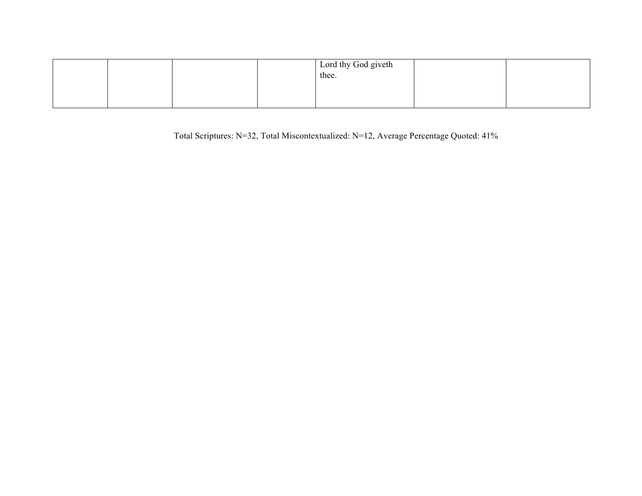|  |  | Lord thy God giveth<br>thee. |  |
|--|--|------------------------------|--|
|  |  |                              |  |

Total Scriptures: N=32, Total Miscontextualized: N=12, Average Percentage Quoted: 41%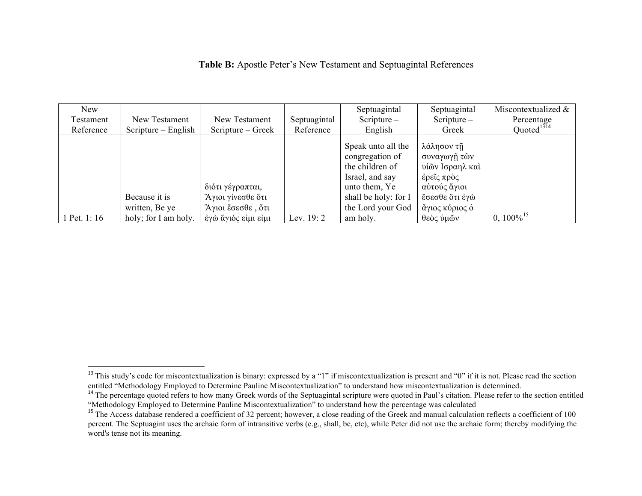|  | Table B: Apostle Peter's New Testament and Septuagintal References |
|--|--------------------------------------------------------------------|
|--|--------------------------------------------------------------------|

| <b>New</b><br>Testament<br>Reference | New Testament<br>$S$ cripture – English                 | New Testament<br>Scripture – Greek                                                | Septuagintal<br>Reference | Septuagintal<br>Scripture $-$<br>English                                                                                                              | Septuagintal<br>Scripture $-$<br>Greek                                                                                       | Miscontextualized &<br>Percentage<br>Quoted $1314$ |
|--------------------------------------|---------------------------------------------------------|-----------------------------------------------------------------------------------|---------------------------|-------------------------------------------------------------------------------------------------------------------------------------------------------|------------------------------------------------------------------------------------------------------------------------------|----------------------------------------------------|
| 1 Pet. 1: 16                         | Because it is<br>written, Be ye<br>holy; for I am holy. | διότι γέγραπται,<br>Άγιοι γίνεσθε ὅτι<br>Άγιοι έσεσθε, ότι<br>έγώ ἄγιός είμι είμι | Lev. $19:2$               | Speak unto all the<br>congregation of<br>the children of<br>Israel, and say<br>unto them, Ye<br>shall be holy: for I<br>the Lord your God<br>am holy. | λάλησον τῆ<br>συναγωγῆ τῶν<br>υίῶν Ισραηλ καὶ<br>έρεῖς πρὸς<br>αύτούς ἄγιοι<br>έσεσθε ότι έγώ<br>άγιος κύριος ο<br>θεὸς ὑμῶν | $0.100\%$ <sup>15</sup>                            |

<sup>&</sup>lt;sup>13</sup> This study's code for miscontextualization is binary: expressed by a "1" if miscontextualization is present and "0" if it is not. Please read the section entitled "Methodology Employed to Determine Pauline Miscontextualization" to understand how miscontextualization is determined.<br><sup>14</sup> The percentage quoted refers to how many Greek words of the Septuagintal scripture were q

<sup>&</sup>quot;Methodology Employed to Determine Pauline Miscontextualization" to understand how the percentage was calculated

<sup>&</sup>lt;sup>15</sup> The Access database rendered a coefficient of 32 percent; however, a close reading of the Greek and manual calculation reflects a coefficient of 100 percent. The Septuagint uses the archaic form of intransitive verbs (e.g., shall, be, etc), while Peter did not use the archaic form; thereby modifying the word's tense not its meaning.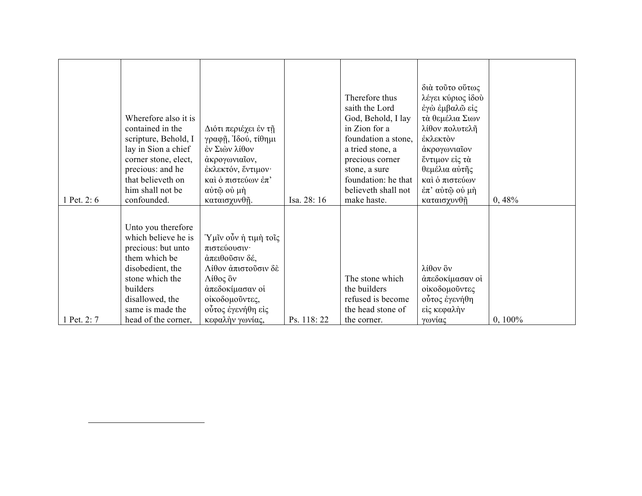| 1 Pet. 2:6  | Wherefore also it is<br>contained in the<br>scripture, Behold, I<br>lay in Sion a chief<br>corner stone, elect,<br>precious: and he<br>that believeth on<br>him shall not be<br>confounded.       | Διότι περιέχει έν τη<br>γραφῆ, Ἰδού, τίθημι<br>έν Σιών λίθον<br>άκρογωνιαΐον,<br>έκλεκτόν, έντιμον·<br>καί ό πιστεύων έπ'<br>αύτῷ οὐ μὴ<br>καταισχυνθῆ.                | Isa. 28: 16 | Therefore thus<br>saith the Lord<br>God, Behold, I lay<br>in Zion for a<br>foundation a stone,<br>a tried stone, a<br>precious corner<br>stone, a sure<br>foundation: he that<br>believeth shall not<br>make haste. | διά τούτο ούτως<br>λέγει κύριος ίδού<br>έγὼ έμβαλῶ είς<br>τά θεμέλια Σιων<br>λίθον πολυτελῆ<br>έκλεκτον<br>άκρογωνιαΐον<br>έντιμον είς τά<br>θεμέλια αύτης<br>καί ό πιστεύων<br>$\dot{\epsilon}\pi$ ' αύτῷ οὐ μὴ<br>καταισχυνθῆ | 0,48%      |
|-------------|---------------------------------------------------------------------------------------------------------------------------------------------------------------------------------------------------|------------------------------------------------------------------------------------------------------------------------------------------------------------------------|-------------|---------------------------------------------------------------------------------------------------------------------------------------------------------------------------------------------------------------------|---------------------------------------------------------------------------------------------------------------------------------------------------------------------------------------------------------------------------------|------------|
| 1 Pet. 2: 7 | Unto you therefore<br>which believe he is<br>precious: but unto<br>them which be<br>disobedient, the<br>stone which the<br>builders<br>disallowed, the<br>same is made the<br>head of the corner, | Ύμῖν οὖν ἡ τιμὴ τοῖς<br>πιστεύουσιν·<br>άπειθούσιν δέ,<br>Λίθον άπιστοῦσιν δὲ<br>Λίθος ὂν<br>άπεδοκίμασαν οί<br>οίκοδομούντες,<br>ούτος έγενήθη είς<br>κεφαλὴν γωνίας, | Ps. 118:22  | The stone which<br>the builders<br>refused is become<br>the head stone of<br>the corner.                                                                                                                            | λίθον ὃν<br>άπεδοκίμασαν οί<br>οίκοδομοῦντες<br>ούτος έγενήθη<br>είς κεφαλήν<br>γωνίας                                                                                                                                          | $0, 100\%$ |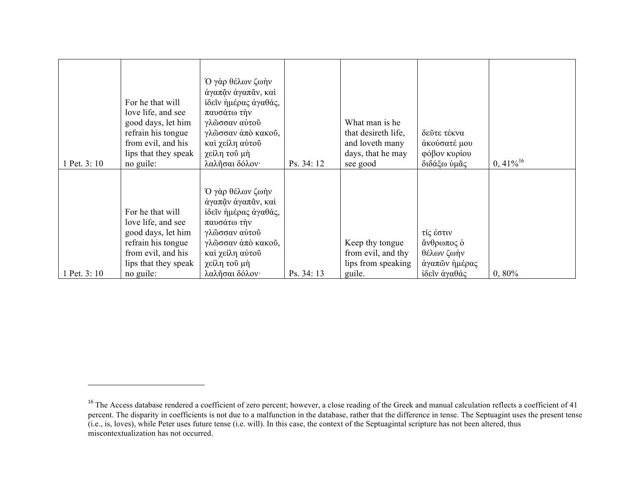| 1 Pet. 3: 10 | For he that will<br>love life, and see<br>good days, let him<br>refrain his tongue<br>from evil, and his<br>lips that they speak<br>no guile: | Ό γὰρ θέλων ζωὴν<br>άγαπᾶν άγαπᾶν, καί<br>ίδεῖν ήμέρας άγαθάς,<br>παυσάτω την<br>γλώσσαν αύτοῦ<br>γλῶσσαν ἀπὸ κακοῦ,<br>καί χείλη αύτου<br>χείλη τοῦ μὴ<br>λαλησαι δόλον· | Ps. 34: 12 | What man is he<br>that desireth life,<br>and loveth many<br>days, that he may<br>see good | δεῦτε τέκνα<br>άκούσατέ μου<br>φόβον κυρίου<br>διδάξω ύμας             | $0,41\%$ <sup>16</sup> |
|--------------|-----------------------------------------------------------------------------------------------------------------------------------------------|---------------------------------------------------------------------------------------------------------------------------------------------------------------------------|------------|-------------------------------------------------------------------------------------------|------------------------------------------------------------------------|------------------------|
| 1 Pet. 3: 10 | For he that will<br>love life, and see<br>good days, let him<br>refrain his tongue<br>from evil, and his<br>lips that they speak<br>no guile: | Ό γάρ θέλων ζωήν<br>άγαπᾶν ἀγαπᾶν, καὶ<br>ίδεῖν ήμέρας άγαθάς,<br>παυσάτω την<br>γλῶσσαν αὐτοῦ<br>γλῶσσαν ἀπὸ κακοῦ,<br>καὶ χείλη αὐτοῦ<br>χείλη τοῦ μὴ<br>λαλησαι δόλον· | Ps. 34: 13 | Keep thy tongue<br>from evil, and thy<br>lips from speaking<br>guile.                     | τίς έστιν<br>άνθρωπος ο<br>θέλων ζωὴν<br>άγαπών ήμέρας<br>ίδεῖν ἀγαθάς | 0,80%                  |

<sup>&</sup>lt;sup>16</sup> The Access database rendered a coefficient of zero percent; however, a close reading of the Greek and manual calculation reflects a coefficient of 41 percent. The disparity in coefficients is not due to a malfunction in the database, rather that the difference in tense. The Septuagint uses the present tense (i.e., is, loves), while Peter uses future tense (i.e. will). In this case, the context of the Septuagintal scripture has not been altered, thus miscontextualization has not occurred.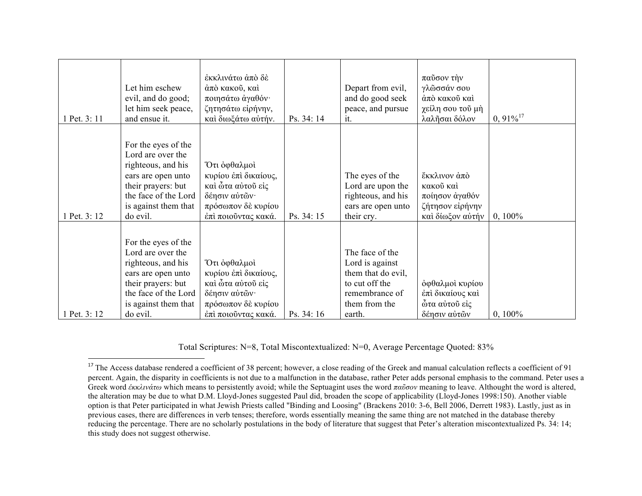| 1 Pet. 3: 11 | Let him eschew<br>evil, and do good;<br>let him seek peace,<br>and ensue it.                                                                                           | έκκλινάτω άπό δέ<br>άπό κακοῦ, καὶ<br>ποιησάτω άγαθόν·<br>ζητησάτω είρήνην,<br>καί διωξάτω αύτήν.                       | Ps. 34: 14 | Depart from evil,<br>and do good seek<br>peace, and pursue<br>it.                                                       | παῦσον τὴν<br>γλῶσσάν σου<br>άπὸ κακοῦ καὶ<br>χείλη σου τοῦ μὴ<br>λαλῆσαι δόλον    | $0,91\%$ <sup>17</sup> |
|--------------|------------------------------------------------------------------------------------------------------------------------------------------------------------------------|-------------------------------------------------------------------------------------------------------------------------|------------|-------------------------------------------------------------------------------------------------------------------------|------------------------------------------------------------------------------------|------------------------|
| 1 Pet. 3: 12 | For the eyes of the<br>Lord are over the<br>righteous, and his<br>ears are open unto<br>their prayers: but<br>the face of the Lord<br>is against them that<br>do evil. | Ότι όφθαλμοί<br>κυρίου έπι δικαίους,<br>καὶ ὦτα αὐτοῦ εἰς<br>δέησιν αύτῶν·<br>πρόσωπον δὲ κυρίου<br>έπι ποιούντας κακά. | Ps. 34: 15 | The eyes of the<br>Lord are upon the<br>righteous, and his<br>ears are open unto<br>their cry.                          | ἔκκλινον ἀπὸ<br>κακοῦ καὶ<br>ποίησον άγαθόν<br>ζήτησον είρήνην<br>καί δίωξον αύτήν | $0, 100\%$             |
| 1 Pet. 3: 12 | For the eyes of the<br>Lord are over the<br>righteous, and his<br>ears are open unto<br>their prayers: but<br>the face of the Lord<br>is against them that<br>do evil. | Ότι όφθαλμοί<br>κυρίου έπι δικαίους,<br>καὶ ὦτα αὐτοῦ εἰς<br>δέησιν αύτών·<br>πρόσωπον δὲ κυρίου<br>έπι ποιούντας κακά. | Ps. 34: 16 | The face of the<br>Lord is against<br>them that do evil,<br>to cut off the<br>remembrance of<br>them from the<br>earth. | όφθαλμοί κυρίου<br>έπι δικαίους και<br>ώτα αύτοῦ εἰς<br>δέησιν αύτών               | $0, 100\%$             |

Total Scriptures: N=8, Total Miscontextualized: N=0, Average Percentage Quoted: 83%

 $17$  The Access database rendered a coefficient of 38 percent; however, a close reading of the Greek and manual calculation reflects a coefficient of 91 percent. Again, the disparity in coefficients is not due to a malfunction in the database, rather Peter adds personal emphasis to the command. Peter uses a Greek word *ἐκκλινάτω* which means to persistently avoid; while the Septuagint uses the word *παῦσον* meaning to leave. Althought the word is altered, the alteration may be due to what D.M. Lloyd-Jones suggested Paul did, broaden the scope of applicability (Lloyd-Jones 1998:150). Another viable option is that Peter participated in what Jewish Priests called "Binding and Loosing" (Brackens 2010: 3-6, Bell 2006, Derrett 1983). Lastly, just as in previous cases, there are differences in verb tenses; therefore, words essentially meaning the same thing are not matched in the database thereby reducing the percentage. There are no scholarly postulations in the body of literature that suggest that Peter's alteration miscontextualized Ps. 34: 14; this study does not suggest otherwise.